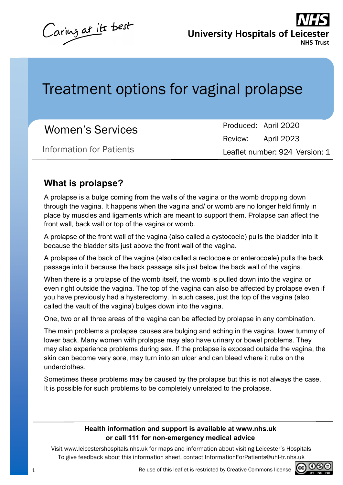Caring at its best

**University Hospitals of Leices NHS Trust** 

# Treatment options for vaginal prolapse

| <b>Women's Services</b>  |                                | Produced: April 2020 |
|--------------------------|--------------------------------|----------------------|
|                          |                                | Review: April 2023   |
| Information for Patients | Leaflet number: 924 Version: 1 |                      |

#### **What is prolapse?**

A prolapse is a bulge coming from the walls of the vagina or the womb dropping down through the vagina. It happens when the vagina and/ or womb are no longer held firmly in place by muscles and ligaments which are meant to support them. Prolapse can affect the front wall, back wall or top of the vagina or womb.

A prolapse of the front wall of the vagina (also called a cystocoele) pulls the bladder into it because the bladder sits just above the front wall of the vagina.

A prolapse of the back of the vagina (also called a rectocoele or enterocoele) pulls the back passage into it because the back passage sits just below the back wall of the vagina.

When there is a prolapse of the womb itself, the womb is pulled down into the vagina or even right outside the vagina. The top of the vagina can also be affected by prolapse even if you have previously had a hysterectomy. In such cases, just the top of the vagina (also called the vault of the vagina) bulges down into the vagina.

One, two or all three areas of the vagina can be affected by prolapse in any combination.

The main problems a prolapse causes are bulging and aching in the vagina, lower tummy of lower back. Many women with prolapse may also have urinary or bowel problems. They may also experience problems during sex. If the prolapse is exposed outside the vagina, the skin can become very sore, may turn into an ulcer and can bleed where it rubs on the underclothes.

Sometimes these problems may be caused by the prolapse but this is not always the case. It is possible for such problems to be completely unrelated to the prolapse.

#### **Health information and support is available at www.nhs.uk or call 111 for non-emergency medical advice**

Visit www.leicestershospitals.nhs.uk for maps and information about visiting Leicester's Hospitals To give feedback about this information sheet, contact InformationForPatients@uhl-tr.nhs.uk

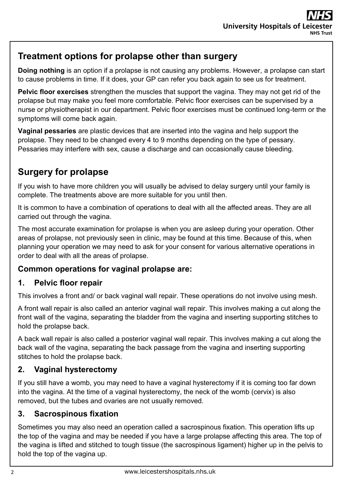#### **Treatment options for prolapse other than surgery**

**Doing nothing** is an option if a prolapse is not causing any problems. However, a prolapse can start to cause problems in time. If it does, your GP can refer you back again to see us for treatment.

**Pelvic floor exercises** strengthen the muscles that support the vagina. They may not get rid of the prolapse but may make you feel more comfortable. Pelvic floor exercises can be supervised by a nurse or physiotherapist in our department. Pelvic floor exercises must be continued long-term or the symptoms will come back again.

**Vaginal pessaries** are plastic devices that are inserted into the vagina and help support the prolapse. They need to be changed every 4 to 9 months depending on the type of pessary. Pessaries may interfere with sex, cause a discharge and can occasionally cause bleeding.

# **Surgery for prolapse**

If you wish to have more children you will usually be advised to delay surgery until your family is complete. The treatments above are more suitable for you until then.

It is common to have a combination of operations to deal with all the affected areas. They are all carried out through the vagina.

The most accurate examination for prolapse is when you are asleep during your operation. Other areas of prolapse, not previously seen in clinic, may be found at this time. Because of this, when planning your operation we may need to ask for your consent for various alternative operations in order to deal with all the areas of prolapse.

#### **Common operations for vaginal prolapse are:**

#### **1. Pelvic floor repair**

This involves a front and/ or back vaginal wall repair. These operations do not involve using mesh.

A front wall repair is also called an anterior vaginal wall repair. This involves making a cut along the front wall of the vagina, separating the bladder from the vagina and inserting supporting stitches to hold the prolapse back.

A back wall repair is also called a posterior vaginal wall repair. This involves making a cut along the back wall of the vagina, separating the back passage from the vagina and inserting supporting stitches to hold the prolapse back.

#### **2. Vaginal hysterectomy**

If you still have a womb, you may need to have a vaginal hysterectomy if it is coming too far down into the vagina. At the time of a vaginal hysterectomy, the neck of the womb (cervix) is also removed, but the tubes and ovaries are not usually removed.

#### **3. Sacrospinous fixation**

Sometimes you may also need an operation called a sacrospinous fixation. This operation lifts up the top of the vagina and may be needed if you have a large prolapse affecting this area. The top of the vagina is lifted and stitched to tough tissue (the sacrospinous ligament) higher up in the pelvis to hold the top of the vagina up.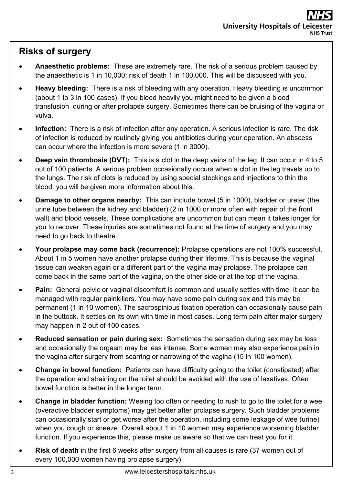### **Risks of surgery**

- **Anaesthetic problems:** These are extremely rare. The risk of a serious problem caused by the anaesthetic is 1 in 10,000; risk of death 1 in 100,000. This will be discussed with you.
- **Heavy bleeding:** There is a risk of bleeding with any operation. Heavy bleeding is uncommon (about 1 to 3 in 100 cases). If you bleed heavily you might need to be given a blood transfusion during or after prolapse surgery. Sometimes there can be bruising of the vagina or vulva.
- **Infection:** There is a risk of infection after any operation. A serious infection is rare. The risk of infection is reduced by routinely giving you antibiotics during your operation. An abscess can occur where the infection is more severe (1 in 3000).
- **Deep vein thrombosis (DVT):** This is a clot in the deep veins of the leg. It can occur in 4 to 5 out of 100 patients. A serious problem occasionally occurs when a clot in the leg travels up to the lungs. The risk of clots is reduced by using special stockings and injections to thin the blood, you will be given more information about this.
- **Damage to other organs nearby:** This can include bowel (5 in 1000), bladder or ureter (the urine tube between the kidney and bladder) (2 in 1000 or more often with repair of the front wall) and blood vessels. These complications are uncommon but can mean it takes longer for you to recover. These injuries are sometimes not found at the time of surgery and you may need to go back to theatre.
- **Your prolapse may come back (recurrence):** Prolapse operations are not 100% successful. About 1 in 5 women have another prolapse during their lifetime. This is because the vaginal tissue can weaken again or a different part of the vagina may prolapse. The prolapse can come back in the same part of the vagina, on the other side or at the top of the vagina.
- **Pain:** General pelvic or vaginal discomfort is common and usually settles with time. It can be managed with regular painkillers. You may have some pain during sex and this may be permanent (1 in 10 women). The sacrospinious fixation operation can occasionally cause pain in the buttock. It settles on its own with time in most cases. Long term pain after major surgery may happen in 2 out of 100 cases.
- **Reduced sensation or pain during sex:** Sometimes the sensation during sex may be less and occasionally the orgasm may be less intense. Some women may also experience pain in the vagina after surgery from scarring or narrowing of the vagina (15 in 100 women).
- **Change in bowel function:** Patients can have difficulty going to the toilet (constipated) after the operation and straining on the toilet should be avoided with the use of laxatives. Often bowel function is better in the longer term.
- **Change in bladder function:** Weeing too often or needing to rush to go to the toilet for a wee (overactive bladder symptoms) may get better after prolapse surgery. Such bladder problems can occasionally start or get worse after the operation, including some leakage of wee (urine) when you cough or sneeze. Overall about 1 in 10 women may experience worsening bladder function. If you experience this, please make us aware so that we can treat you for it.
- **Risk of death** in the first 6 weeks after surgery from all causes is rare (37 women out of every 100,000 women having prolapse surgery).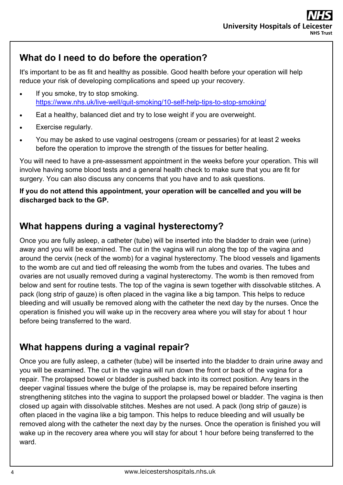### **What do I need to do before the operation?**

It's important to be as fit and healthy as possible. Good health before your operation will help reduce your risk of developing complications and speed up your recovery.

- If you smoke, try to stop smoking. [https://www.nhs.uk/live](https://www.nhs.uk/live-well/quit-smoking/10-self-help-tips-to-stop-smoking/)-well/quit-smoking/10-self-help-tips-to-stop-smoking/
- Eat a healthy, balanced diet and try to lose weight if you are overweight.
- Exercise regularly.
- You may be asked to use vaginal oestrogens (cream or pessaries) for at least 2 weeks before the operation to improve the strength of the tissues for better healing.

You will need to have a pre-assessment appointment in the weeks before your operation. This will involve having some blood tests and a general health check to make sure that you are fit for surgery. You can also discuss any concerns that you have and to ask questions.

#### **If you do not attend this appointment, your operation will be cancelled and you will be discharged back to the GP.**

#### **What happens during a vaginal hysterectomy?**

Once you are fully asleep, a catheter (tube) will be inserted into the bladder to drain wee (urine) away and you will be examined. The cut in the vagina will run along the top of the vagina and around the cervix (neck of the womb) for a vaginal hysterectomy. The blood vessels and ligaments to the womb are cut and tied off releasing the womb from the tubes and ovaries. The tubes and ovaries are not usually removed during a vaginal hysterectomy. The womb is then removed from below and sent for routine tests. The top of the vagina is sewn together with dissolvable stitches. A pack (long strip of gauze) is often placed in the vagina like a big tampon. This helps to reduce bleeding and will usually be removed along with the catheter the next day by the nurses. Once the operation is finished you will wake up in the recovery area where you will stay for about 1 hour before being transferred to the ward.

### **What happens during a vaginal repair?**

Once you are fully asleep, a catheter (tube) will be inserted into the bladder to drain urine away and you will be examined. The cut in the vagina will run down the front or back of the vagina for a repair. The prolapsed bowel or bladder is pushed back into its correct position. Any tears in the deeper vaginal tissues where the bulge of the prolapse is, may be repaired before inserting strengthening stitches into the vagina to support the prolapsed bowel or bladder. The vagina is then closed up again with dissolvable stitches. Meshes are not used. A pack (long strip of gauze) is often placed in the vagina like a big tampon. This helps to reduce bleeding and will usually be removed along with the catheter the next day by the nurses. Once the operation is finished you will wake up in the recovery area where you will stay for about 1 hour before being transferred to the ward.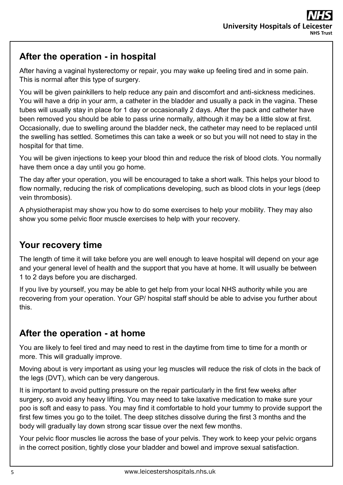### **After the operation - in hospital**

After having a vaginal hysterectomy or repair, you may wake up feeling tired and in some pain. This is normal after this type of surgery.

You will be given painkillers to help reduce any pain and discomfort and anti-sickness medicines. You will have a drip in your arm, a catheter in the bladder and usually a pack in the vagina. These tubes will usually stay in place for 1 day or occasionally 2 days. After the pack and catheter have been removed you should be able to pass urine normally, although it may be a little slow at first. Occasionally, due to swelling around the bladder neck, the catheter may need to be replaced until the swelling has settled. Sometimes this can take a week or so but you will not need to stay in the hospital for that time.

You will be given injections to keep your blood thin and reduce the risk of blood clots. You normally have them once a day until you go home.

The day after your operation, you will be encouraged to take a short walk. This helps your blood to flow normally, reducing the risk of complications developing, such as blood clots in your legs (deep vein thrombosis).

A physiotherapist may show you how to do some exercises to help your mobility. They may also show you some pelvic floor muscle exercises to help with your recovery.

### **Your recovery time**

The length of time it will take before you are well enough to leave hospital will depend on your age and your general level of health and the support that you have at home. It will usually be between 1 to 2 days before you are discharged.

If you live by yourself, you may be able to get help from your local NHS authority while you are recovering from your operation. Your GP/ hospital staff should be able to advise you further about this.

#### **After the operation - at home**

You are likely to feel tired and may need to rest in the daytime from time to time for a month or more. This will gradually improve.

Moving about is very important as using your leg muscles will reduce the risk of clots in the back of the legs (DVT), which can be very dangerous.

It is important to avoid putting pressure on the repair particularly in the first few weeks after surgery, so avoid any heavy lifting. You may need to take laxative medication to make sure your poo is soft and easy to pass. You may find it comfortable to hold your tummy to provide support the first few times you go to the toilet. The deep stitches dissolve during the first 3 months and the body will gradually lay down strong scar tissue over the next few months.

Your pelvic floor muscles lie across the base of your pelvis. They work to keep your pelvic organs in the correct position, tightly close your bladder and bowel and improve sexual satisfaction.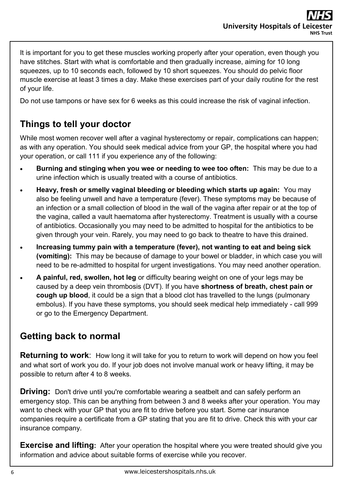It is important for you to get these muscles working properly after your operation, even though you have stitches. Start with what is comfortable and then gradually increase, aiming for 10 long squeezes, up to 10 seconds each, followed by 10 short squeezes. You should do pelvic floor muscle exercise at least 3 times a day. Make these exercises part of your daily routine for the rest of your life.

Do not use tampons or have sex for 6 weeks as this could increase the risk of vaginal infection.

# **Things to tell your doctor**

While most women recover well after a vaginal hysterectomy or repair, complications can happen; as with any operation. You should seek medical advice from your GP, the hospital where you had your operation, or call 111 if you experience any of the following:

- **Burning and stinging when you wee or needing to wee too often:** This may be due to a urine infection which is usually treated with a course of antibiotics.
- **Heavy, fresh or smelly vaginal bleeding or bleeding which starts up again:** You may also be feeling unwell and have a temperature (fever). These symptoms may be because of an infection or a small collection of blood in the wall of the vagina after repair or at the top of the vagina, called a vault haematoma after hysterectomy. Treatment is usually with a course of antibiotics. Occasionally you may need to be admitted to hospital for the antibiotics to be given through your vein. Rarely, you may need to go back to theatre to have this drained.
- **Increasing tummy pain with a temperature (fever), not wanting to eat and being sick (vomiting):** This may be because of damage to your bowel or bladder, in which case you will need to be re-admitted to hospital for urgent investigations. You may need another operation.
- **A painful, red, swollen, hot leg** or difficulty bearing weight on one of your legs may be caused by a deep vein thrombosis (DVT). If you have **shortness of breath, chest pain or cough up blood**, it could be a sign that a blood clot has travelled to the lungs (pulmonary embolus). If you have these symptoms, you should seek medical help immediately - call 999 or go to the Emergency Department.

### **Getting back to normal**

**Returning to work**: How long it will take for you to return to work will depend on how you feel and what sort of work you do. If your job does not involve manual work or heavy lifting, it may be possible to return after 4 to 8 weeks.

**Driving:** Don't drive until you're comfortable wearing a seatbelt and can safely perform an emergency stop. This can be anything from between 3 and 8 weeks after your operation. You may want to check with your GP that you are fit to drive before you start. Some car insurance companies require a certificate from a GP stating that you are fit to drive. Check this with your car insurance company.

**Exercise and lifting:** After your operation the hospital where you were treated should give you information and advice about suitable forms of exercise while you recover.